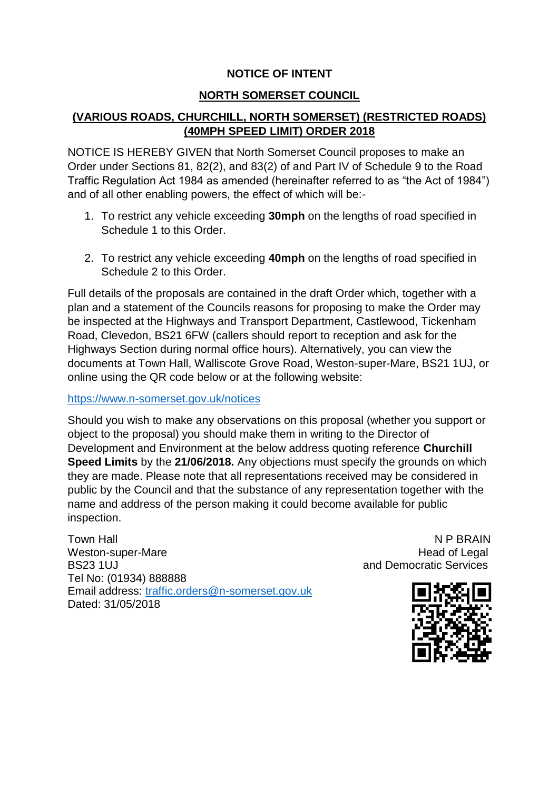## **NOTICE OF INTENT**

## **NORTH SOMERSET COUNCIL**

# **(VARIOUS ROADS, CHURCHILL, NORTH SOMERSET) (RESTRICTED ROADS) (40MPH SPEED LIMIT) ORDER 2018**

NOTICE IS HEREBY GIVEN that North Somerset Council proposes to make an Order under Sections 81, 82(2), and 83(2) of and Part IV of Schedule 9 to the Road Traffic Regulation Act 1984 as amended (hereinafter referred to as "the Act of 1984") and of all other enabling powers, the effect of which will be:-

- 1. To restrict any vehicle exceeding **30mph** on the lengths of road specified in Schedule 1 to this Order.
- 2. To restrict any vehicle exceeding **40mph** on the lengths of road specified in Schedule 2 to this Order.

Full details of the proposals are contained in the draft Order which, together with a plan and a statement of the Councils reasons for proposing to make the Order may be inspected at the Highways and Transport Department, Castlewood, Tickenham Road, Clevedon, BS21 6FW (callers should report to reception and ask for the Highways Section during normal office hours). Alternatively, you can view the documents at Town Hall, Walliscote Grove Road, Weston-super-Mare, BS21 1UJ, or online using the QR code below or at the following website:

#### <https://www.n-somerset.gov.uk/notices>

Should you wish to make any observations on this proposal (whether you support or object to the proposal) you should make them in writing to the Director of Development and Environment at the below address quoting reference **Churchill Speed Limits** by the **21/06/2018.** Any objections must specify the grounds on which they are made. Please note that all representations received may be considered in public by the Council and that the substance of any representation together with the name and address of the person making it could become available for public inspection.

Town Hall Note that the state of the state of the N P BRAIN Weston-super-Mare **Head of Legal** BS23 1UJ **BS23 1UJ EXECUTE:** THE BS23 1UJ **AND PROPERTY AND RESOLUTION AND RESOLUTION AND RESOLUTION OF A SERVICE SERVICES** Tel No: (01934) 888888 Email address: [traffic.orders@n-somerset.gov.uk](mailto:traffic.orders@n-somerset.gov.uk) Dated: 31/05/2018